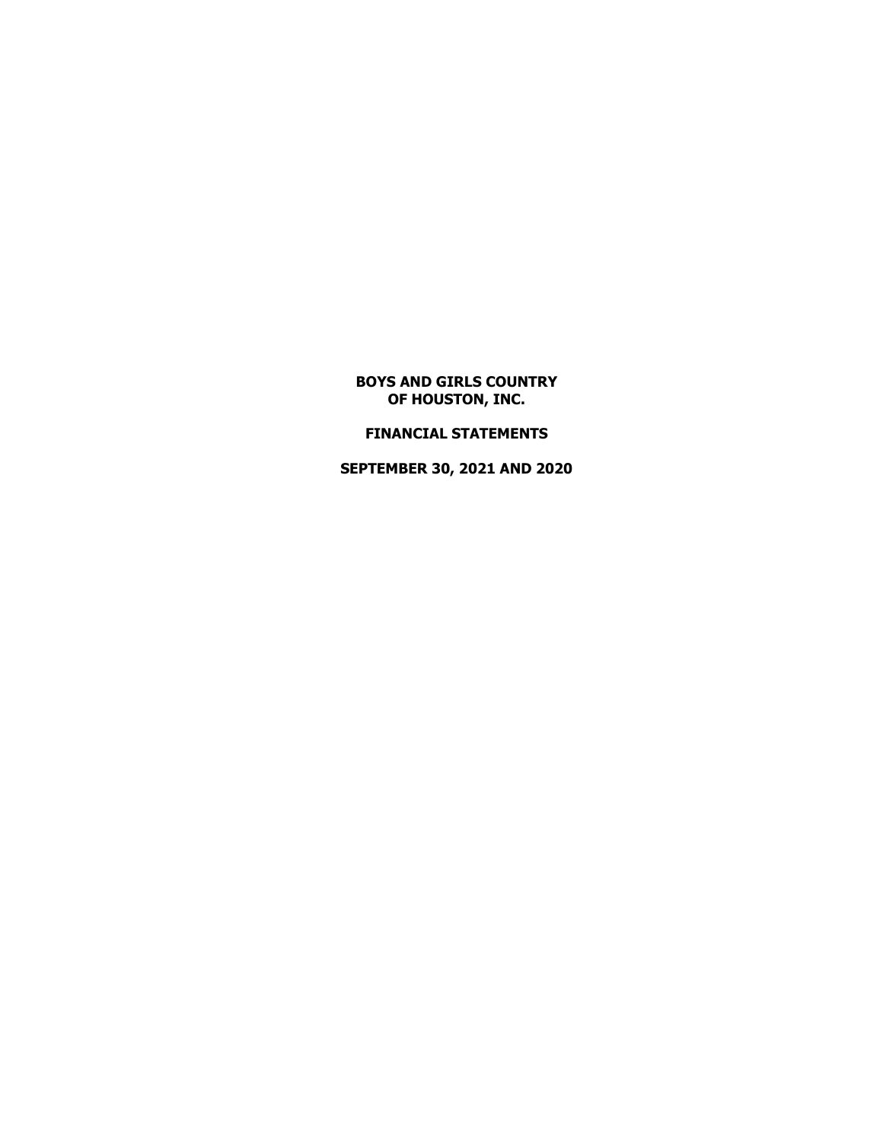**BOYS AND GIRLS COUNTRY OF HOUSTON, INC.**

# **FINANCIAL STATEMENTS**

**SEPTEMBER 30, 2021 AND 2020**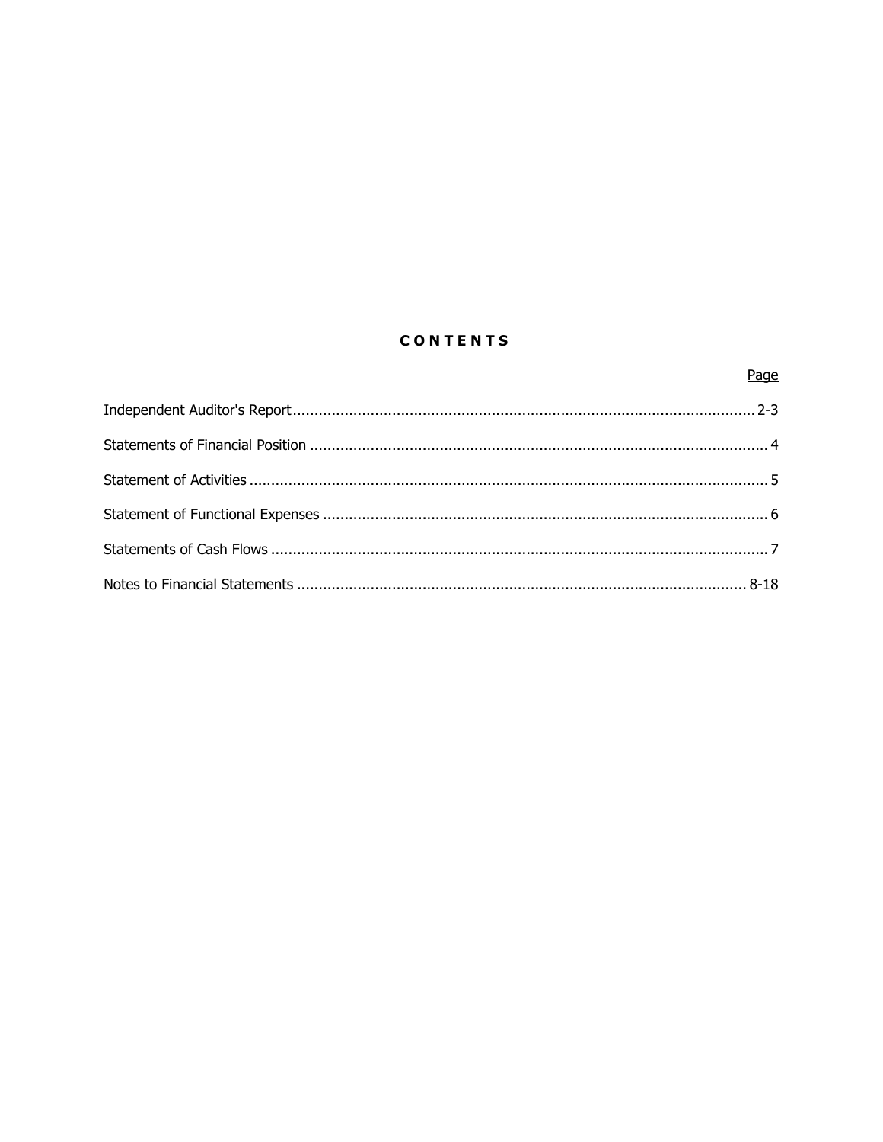# **CONTENTS**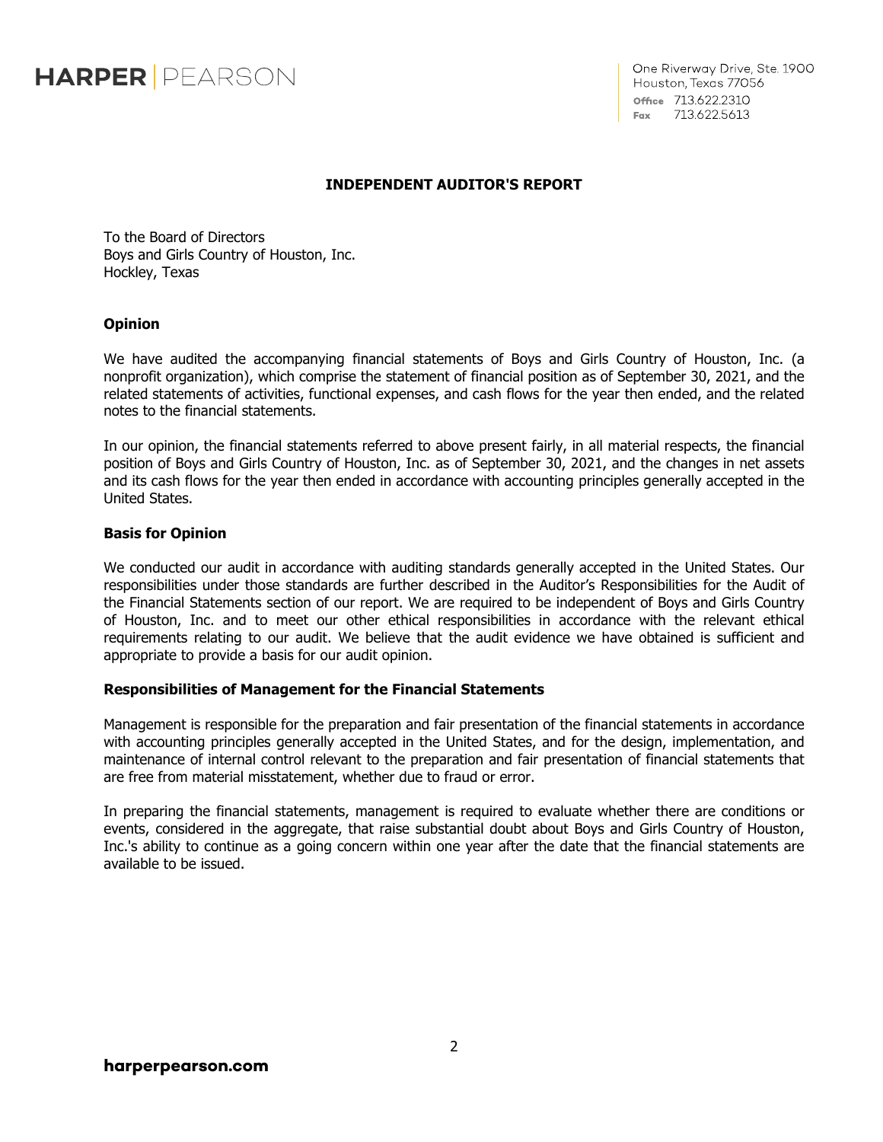

### **INDEPENDENT AUDITOR'S REPORT**

To the Board of Directors Boys and Girls Country of Houston, Inc. Hockley, Texas

#### **Opinion**

We have audited the accompanying financial statements of Boys and Girls Country of Houston, Inc. (a nonprofit organization), which comprise the statement of financial position as of September 30, 2021, and the related statements of activities, functional expenses, and cash flows for the year then ended, and the related notes to the financial statements.

In our opinion, the financial statements referred to above present fairly, in all material respects, the financial position of Boys and Girls Country of Houston, Inc. as of September 30, 2021, and the changes in net assets and its cash flows for the year then ended in accordance with accounting principles generally accepted in the United States.

#### **Basis for Opinion**

We conducted our audit in accordance with auditing standards generally accepted in the United States. Our responsibilities under those standards are further described in the Auditor's Responsibilities for the Audit of the Financial Statements section of our report. We are required to be independent of Boys and Girls Country of Houston, Inc. and to meet our other ethical responsibilities in accordance with the relevant ethical requirements relating to our audit. We believe that the audit evidence we have obtained is sufficient and appropriate to provide a basis for our audit opinion.

#### **Responsibilities of Management for the Financial Statements**

Management is responsible for the preparation and fair presentation of the financial statements in accordance with accounting principles generally accepted in the United States, and for the design, implementation, and maintenance of internal control relevant to the preparation and fair presentation of financial statements that are free from material misstatement, whether due to fraud or error.

In preparing the financial statements, management is required to evaluate whether there are conditions or events, considered in the aggregate, that raise substantial doubt about Boys and Girls Country of Houston, Inc.'s ability to continue as a going concern within one year after the date that the financial statements are available to be issued.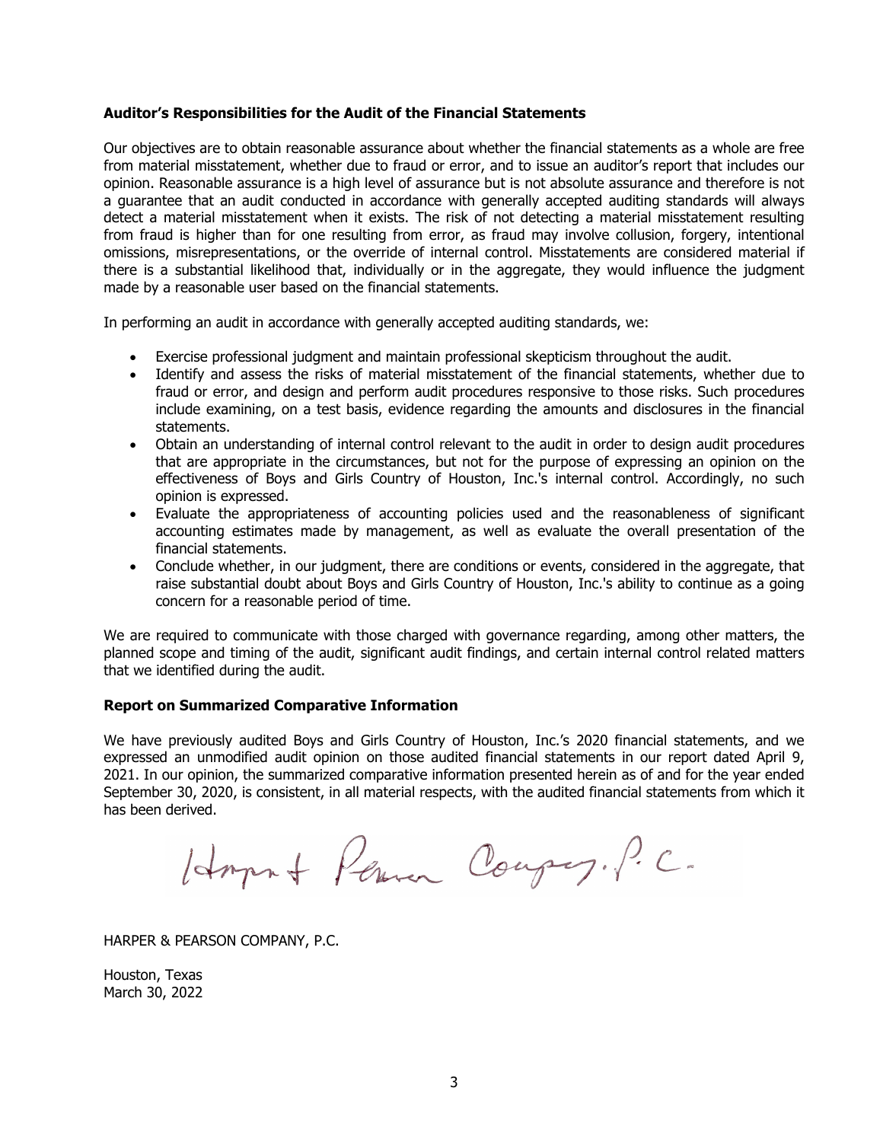### **Auditor's Responsibilities for the Audit of the Financial Statements**

Our objectives are to obtain reasonable assurance about whether the financial statements as a whole are free from material misstatement, whether due to fraud or error, and to issue an auditor's report that includes our opinion. Reasonable assurance is a high level of assurance but is not absolute assurance and therefore is not a guarantee that an audit conducted in accordance with generally accepted auditing standards will always detect a material misstatement when it exists. The risk of not detecting a material misstatement resulting from fraud is higher than for one resulting from error, as fraud may involve collusion, forgery, intentional omissions, misrepresentations, or the override of internal control. Misstatements are considered material if there is a substantial likelihood that, individually or in the aggregate, they would influence the judgment made by a reasonable user based on the financial statements.

In performing an audit in accordance with generally accepted auditing standards, we:

- Exercise professional judgment and maintain professional skepticism throughout the audit.
- Identify and assess the risks of material misstatement of the financial statements, whether due to fraud or error, and design and perform audit procedures responsive to those risks. Such procedures include examining, on a test basis, evidence regarding the amounts and disclosures in the financial statements.
- Obtain an understanding of internal control relevant to the audit in order to design audit procedures that are appropriate in the circumstances, but not for the purpose of expressing an opinion on the effectiveness of Boys and Girls Country of Houston, Inc.'s internal control. Accordingly, no such opinion is expressed.
- Evaluate the appropriateness of accounting policies used and the reasonableness of significant accounting estimates made by management, as well as evaluate the overall presentation of the financial statements.
- Conclude whether, in our judgment, there are conditions or events, considered in the aggregate, that raise substantial doubt about Boys and Girls Country of Houston, Inc.'s ability to continue as a going concern for a reasonable period of time.

We are required to communicate with those charged with governance regarding, among other matters, the planned scope and timing of the audit, significant audit findings, and certain internal control related matters that we identified during the audit.

## **Report on Summarized Comparative Information**

We have previously audited Boys and Girls Country of Houston, Inc.'s 2020 financial statements, and we expressed an unmodified audit opinion on those audited financial statements in our report dated April 9, 2021. In our opinion, the summarized comparative information presented herein as of and for the year ended September 30, 2020, is consistent, in all material respects, with the audited financial statements from which it has been derived.

Hornat Person Coupey. P.C.

HARPER & PEARSON COMPANY, P.C.

Houston, Texas March 30, 2022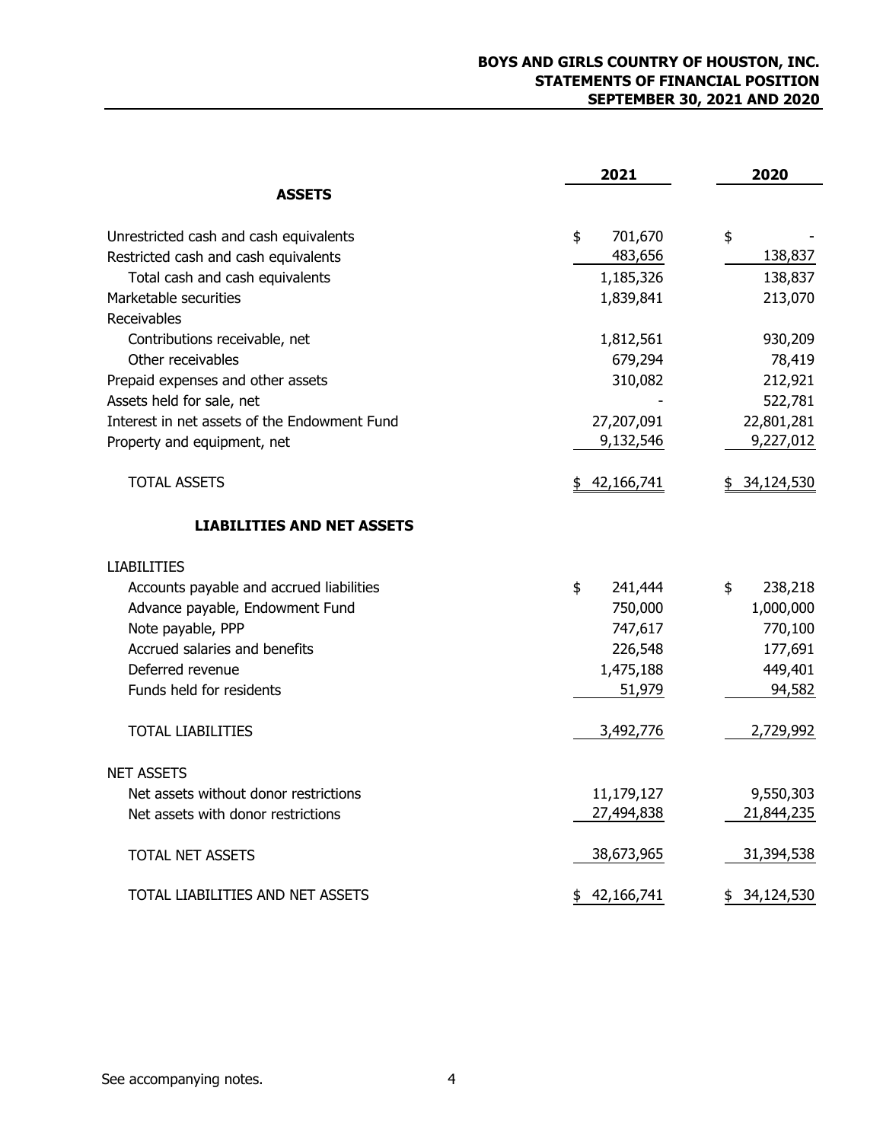## **BOYS AND GIRLS COUNTRY OF HOUSTON, INC. STATEMENTS OF FINANCIAL POSITION SEPTEMBER 30, 2021 AND 2020**

|                                              | 2021             | 2020             |
|----------------------------------------------|------------------|------------------|
| <b>ASSETS</b>                                |                  |                  |
| Unrestricted cash and cash equivalents       | \$<br>701,670    | \$               |
| Restricted cash and cash equivalents         | 483,656          | 138,837          |
| Total cash and cash equivalents              | 1,185,326        | 138,837          |
| Marketable securities                        | 1,839,841        | 213,070          |
| Receivables                                  |                  |                  |
| Contributions receivable, net                | 1,812,561        | 930,209          |
| Other receivables                            | 679,294          | 78,419           |
| Prepaid expenses and other assets            | 310,082          | 212,921          |
| Assets held for sale, net                    |                  | 522,781          |
| Interest in net assets of the Endowment Fund | 27,207,091       | 22,801,281       |
| Property and equipment, net                  | 9,132,546        | 9,227,012        |
| <b>TOTAL ASSETS</b>                          | \$42,166,741     | \$34,124,530     |
| <b>LIABILITIES AND NET ASSETS</b>            |                  |                  |
| <b>LIABILITIES</b>                           |                  |                  |
| Accounts payable and accrued liabilities     | \$<br>241,444    | \$<br>238,218    |
| Advance payable, Endowment Fund              | 750,000          | 1,000,000        |
| Note payable, PPP                            | 747,617          | 770,100          |
| Accrued salaries and benefits                | 226,548          | 177,691          |
| Deferred revenue                             | 1,475,188        | 449,401          |
| Funds held for residents                     | 51,979           | 94,582           |
| <b>TOTAL LIABILITIES</b>                     | 3,492,776        | 2,729,992        |
| <b>NET ASSETS</b>                            |                  |                  |
| Net assets without donor restrictions        | 11,179,127       | 9,550,303        |
| Net assets with donor restrictions           | 27,494,838       | 21,844,235       |
| <b>TOTAL NET ASSETS</b>                      | 38,673,965       | 31,394,538       |
| TOTAL LIABILITIES AND NET ASSETS             | 42,166,741<br>\$ | 34,124,530<br>\$ |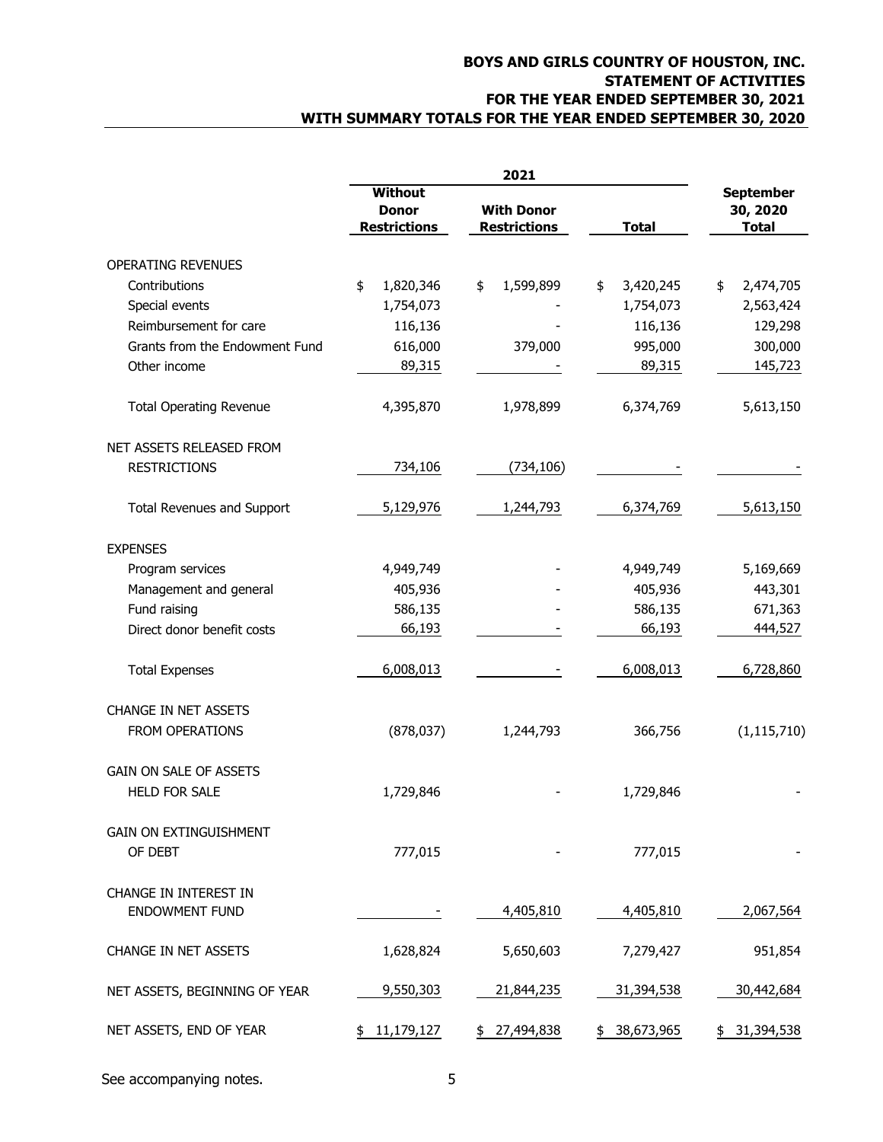## **BOYS AND GIRLS COUNTRY OF HOUSTON, INC. STATEMENT OF ACTIVITIES FOR THE YEAR ENDED SEPTEMBER 30, 2021 WITH SUMMARY TOTALS FOR THE YEAR ENDED SEPTEMBER 30, 2020**

|                                   | <b>Without</b><br><b>Donor</b><br><b>Restrictions</b> | <b>With Donor</b><br><b>Restrictions</b> | <b>Total</b>    | <b>September</b><br>30, 2020<br><b>Total</b> |  |  |
|-----------------------------------|-------------------------------------------------------|------------------------------------------|-----------------|----------------------------------------------|--|--|
| <b>OPERATING REVENUES</b>         |                                                       |                                          |                 |                                              |  |  |
| Contributions                     | \$<br>1,820,346                                       | 1,599,899<br>\$                          | 3,420,245<br>\$ | 2,474,705<br>\$                              |  |  |
| Special events                    | 1,754,073                                             |                                          | 1,754,073       | 2,563,424                                    |  |  |
| Reimbursement for care            | 116,136                                               |                                          | 116,136         | 129,298                                      |  |  |
| Grants from the Endowment Fund    | 616,000                                               | 379,000                                  | 995,000         | 300,000                                      |  |  |
| Other income                      | 89,315                                                |                                          | 89,315          | 145,723                                      |  |  |
| <b>Total Operating Revenue</b>    | 4,395,870                                             | 1,978,899                                | 6,374,769       | 5,613,150                                    |  |  |
| NET ASSETS RELEASED FROM          |                                                       |                                          |                 |                                              |  |  |
| <b>RESTRICTIONS</b>               | 734,106                                               | (734, 106)                               |                 |                                              |  |  |
| <b>Total Revenues and Support</b> | 5,129,976                                             | 1,244,793                                | 6,374,769       | 5,613,150                                    |  |  |
| <b>EXPENSES</b>                   |                                                       |                                          |                 |                                              |  |  |
| Program services                  | 4,949,749                                             |                                          | 4,949,749       | 5,169,669                                    |  |  |
| Management and general            | 405,936                                               |                                          | 405,936         | 443,301                                      |  |  |
| Fund raising                      | 586,135                                               |                                          | 586,135         | 671,363                                      |  |  |
| Direct donor benefit costs        | 66,193                                                |                                          | 66,193          | 444,527                                      |  |  |
| <b>Total Expenses</b>             | 6,008,013                                             |                                          | 6,008,013       | 6,728,860                                    |  |  |
| CHANGE IN NET ASSETS              |                                                       |                                          |                 |                                              |  |  |
| FROM OPERATIONS                   | (878, 037)                                            | 1,244,793                                | 366,756         | (1, 115, 710)                                |  |  |
| <b>GAIN ON SALE OF ASSETS</b>     |                                                       |                                          |                 |                                              |  |  |
| <b>HELD FOR SALE</b>              | 1,729,846                                             |                                          | 1,729,846       |                                              |  |  |
| <b>GAIN ON EXTINGUISHMENT</b>     |                                                       |                                          |                 |                                              |  |  |
| OF DEBT                           | 777,015                                               |                                          | 777,015         |                                              |  |  |
| CHANGE IN INTEREST IN             |                                                       |                                          |                 |                                              |  |  |
| <b>ENDOWMENT FUND</b>             |                                                       | 4,405,810                                | 4,405,810       | 2,067,564                                    |  |  |
| <b>CHANGE IN NET ASSETS</b>       | 1,628,824                                             | 5,650,603                                | 7,279,427       | 951,854                                      |  |  |
| NET ASSETS, BEGINNING OF YEAR     | 9,550,303                                             | 21,844,235                               | 31,394,538      | 30,442,684                                   |  |  |
| NET ASSETS, END OF YEAR           | \$ 11,179,127                                         | \$ 27,494,838                            | \$ 38,673,965   | \$ 31,394,538                                |  |  |

See accompanying notes. 5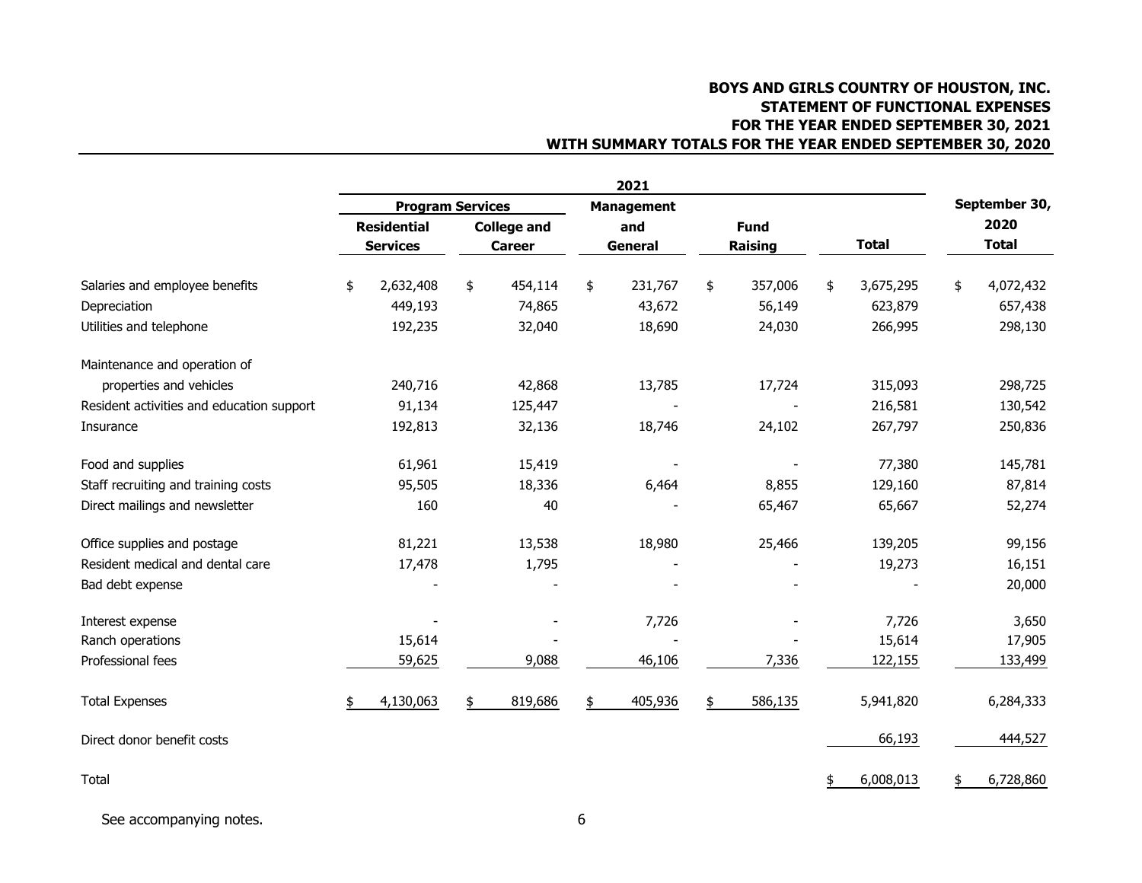## **BOYS AND GIRLS COUNTRY OF HOUSTON, INC. STATEMENT OF FUNCTIONAL EXPENSES FOR THE YEAR ENDED SEPTEMBER 30, 2021 WITH SUMMARY TOTALS FOR THE YEAR ENDED SEPTEMBER 30, 2020**

|                                           |                         |                    |               | 2021              |    |         |                 |                 |  |      |
|-------------------------------------------|-------------------------|--------------------|---------------|-------------------|----|---------|-----------------|-----------------|--|------|
|                                           | <b>Program Services</b> |                    |               | <b>Management</b> |    |         |                 | September 30,   |  |      |
|                                           | <b>Residential</b>      | <b>College and</b> |               |                   |    | and     |                 | <b>Fund</b>     |  | 2020 |
|                                           | <b>Services</b>         |                    | <b>Career</b> | General           |    | Raising | <b>Total</b>    | <b>Total</b>    |  |      |
| Salaries and employee benefits            | \$<br>2,632,408         | \$                 | 454,114       | \$<br>231,767     | \$ | 357,006 | \$<br>3,675,295 | \$<br>4,072,432 |  |      |
| Depreciation                              | 449,193                 |                    | 74,865        | 43,672            |    | 56,149  | 623,879         | 657,438         |  |      |
| Utilities and telephone                   | 192,235                 |                    | 32,040        | 18,690            |    | 24,030  | 266,995         | 298,130         |  |      |
| Maintenance and operation of              |                         |                    |               |                   |    |         |                 |                 |  |      |
| properties and vehicles                   | 240,716                 |                    | 42,868        | 13,785            |    | 17,724  | 315,093         | 298,725         |  |      |
| Resident activities and education support | 91,134                  |                    | 125,447       |                   |    |         | 216,581         | 130,542         |  |      |
| Insurance                                 | 192,813                 |                    | 32,136        | 18,746            |    | 24,102  | 267,797         | 250,836         |  |      |
| Food and supplies                         | 61,961                  |                    | 15,419        |                   |    |         | 77,380          | 145,781         |  |      |
| Staff recruiting and training costs       | 95,505                  |                    | 18,336        | 6,464             |    | 8,855   | 129,160         | 87,814          |  |      |
| Direct mailings and newsletter            | 160                     |                    | 40            |                   |    | 65,467  | 65,667          | 52,274          |  |      |
| Office supplies and postage               | 81,221                  |                    | 13,538        | 18,980            |    | 25,466  | 139,205         | 99,156          |  |      |
| Resident medical and dental care          | 17,478                  |                    | 1,795         |                   |    |         | 19,273          | 16,151          |  |      |
| Bad debt expense                          |                         |                    |               |                   |    |         |                 | 20,000          |  |      |
| Interest expense                          |                         |                    |               | 7,726             |    |         | 7,726           | 3,650           |  |      |
| Ranch operations                          | 15,614                  |                    |               |                   |    |         | 15,614          | 17,905          |  |      |
| Professional fees                         | 59,625                  |                    | 9,088         | 46,106            |    | 7,336   | 122,155         | 133,499         |  |      |
| <b>Total Expenses</b>                     | 4,130,063               | \$                 | 819,686       | \$<br>405,936     | \$ | 586,135 | 5,941,820       | 6,284,333       |  |      |
| Direct donor benefit costs                |                         |                    |               |                   |    |         | 66,193          | 444,527         |  |      |
| Total                                     |                         |                    |               |                   |    |         | 6,008,013       | 6,728,860       |  |      |

See accompanying notes. 6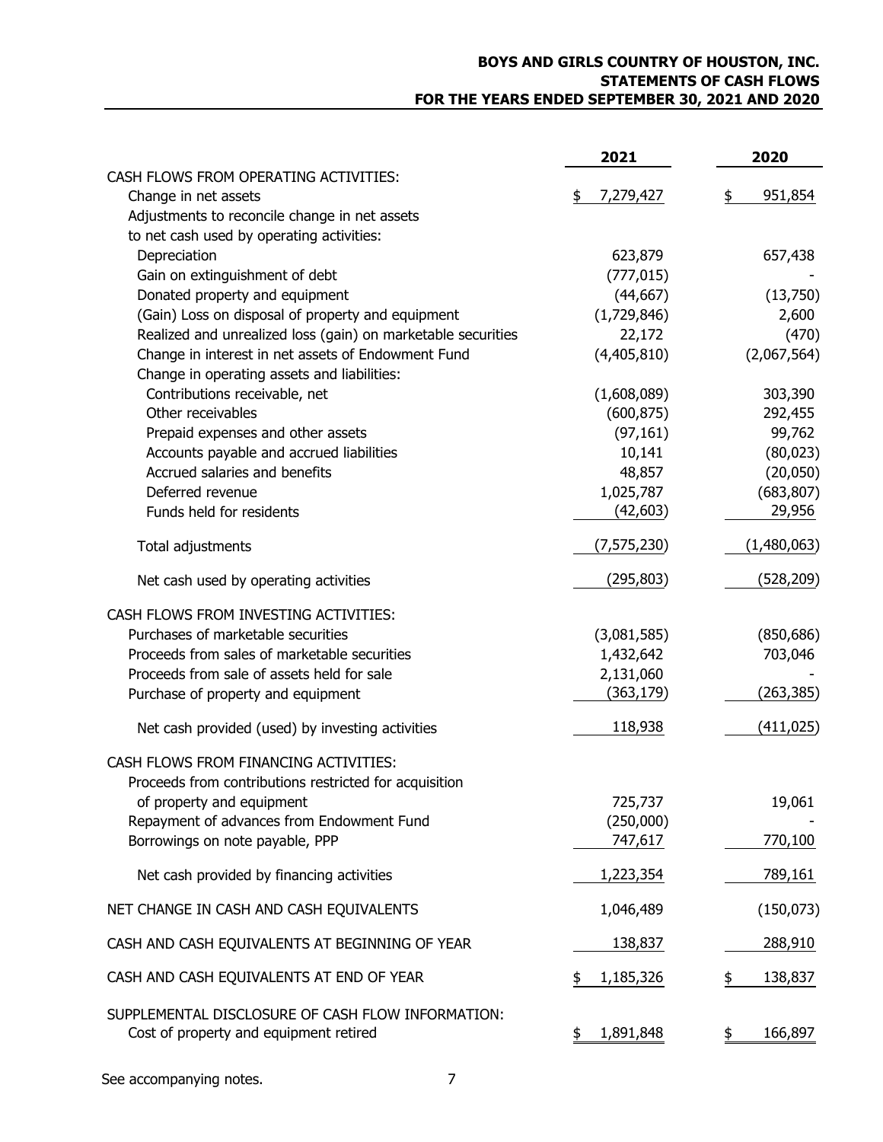## **BOYS AND GIRLS COUNTRY OF HOUSTON, INC. STATEMENTS OF CASH FLOWS FOR THE YEARS ENDED SEPTEMBER 30, 2021 AND 2020**

|                                                                                             | 2021                      | 2020               |
|---------------------------------------------------------------------------------------------|---------------------------|--------------------|
| CASH FLOWS FROM OPERATING ACTIVITIES:                                                       |                           |                    |
| Change in net assets                                                                        | 7,279,427<br>\$           | 951,854<br>\$      |
| Adjustments to reconcile change in net assets                                               |                           |                    |
| to net cash used by operating activities:                                                   |                           |                    |
| Depreciation                                                                                | 623,879                   | 657,438            |
| Gain on extinguishment of debt<br>Donated property and equipment                            | (777, 015)<br>(44, 667)   | (13,750)           |
| (Gain) Loss on disposal of property and equipment                                           | (1,729,846)               | 2,600              |
| Realized and unrealized loss (gain) on marketable securities                                | 22,172                    | (470)              |
| Change in interest in net assets of Endowment Fund                                          | (4,405,810)               | (2,067,564)        |
| Change in operating assets and liabilities:<br>Contributions receivable, net                |                           |                    |
| Other receivables                                                                           | (1,608,089)<br>(600, 875) | 303,390<br>292,455 |
| Prepaid expenses and other assets                                                           | (97, 161)                 | 99,762             |
| Accounts payable and accrued liabilities                                                    | 10,141                    | (80, 023)          |
| Accrued salaries and benefits                                                               | 48,857                    | (20,050)           |
| Deferred revenue                                                                            | 1,025,787                 | (683, 807)         |
| Funds held for residents                                                                    | (42,603)                  | 29,956             |
| Total adjustments                                                                           | (7, 575, 230)             | (1,480,063)        |
| Net cash used by operating activities                                                       | (295, 803)                | (528, 209)         |
| CASH FLOWS FROM INVESTING ACTIVITIES:                                                       |                           |                    |
| Purchases of marketable securities                                                          | (3,081,585)               | (850, 686)         |
| Proceeds from sales of marketable securities                                                | 1,432,642                 | 703,046            |
| Proceeds from sale of assets held for sale                                                  | 2,131,060                 |                    |
| Purchase of property and equipment                                                          | (363,179)                 | (263,385)          |
| Net cash provided (used) by investing activities                                            | 118,938                   | (411, 025)         |
| CASH FLOWS FROM FINANCING ACTIVITIES:                                                       |                           |                    |
| Proceeds from contributions restricted for acquisition                                      |                           |                    |
| of property and equipment<br>Repayment of advances from Endowment Fund                      | 725,737                   | 19,061             |
| Borrowings on note payable, PPP                                                             | (250,000)<br>747,617      | 770,100            |
|                                                                                             |                           |                    |
| Net cash provided by financing activities                                                   | 1,223,354                 | 789,161            |
| NET CHANGE IN CASH AND CASH EQUIVALENTS                                                     | 1,046,489                 | (150, 073)         |
| CASH AND CASH EQUIVALENTS AT BEGINNING OF YEAR                                              | 138,837                   | 288,910            |
| CASH AND CASH EQUIVALENTS AT END OF YEAR                                                    | 1,185,326                 | <u>138,837</u>     |
| SUPPLEMENTAL DISCLOSURE OF CASH FLOW INFORMATION:<br>Cost of property and equipment retired | 1,891,848<br>\$           | 166,897            |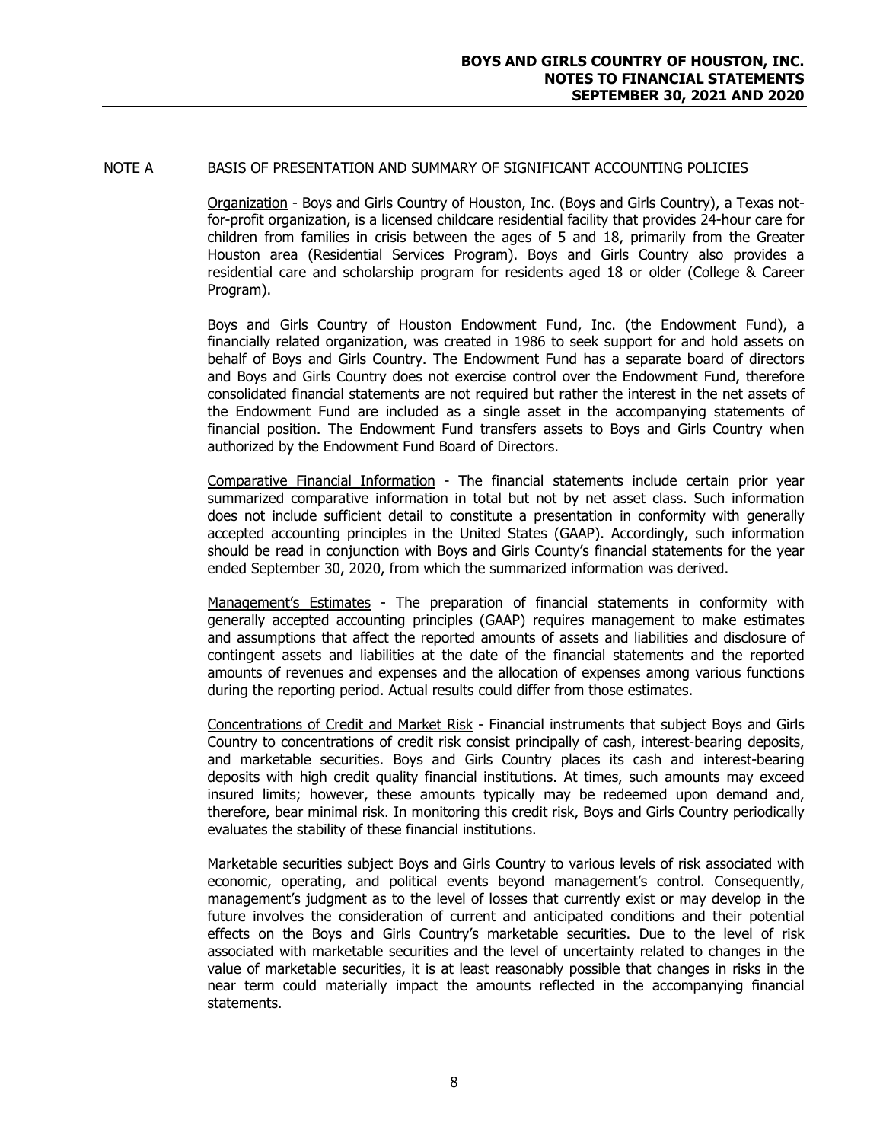#### NOTE A BASIS OF PRESENTATION AND SUMMARY OF SIGNIFICANT ACCOUNTING POLICIES

Organization - Boys and Girls Country of Houston, Inc. (Boys and Girls Country), a Texas notfor-profit organization, is a licensed childcare residential facility that provides 24-hour care for children from families in crisis between the ages of 5 and 18, primarily from the Greater Houston area (Residential Services Program). Boys and Girls Country also provides a residential care and scholarship program for residents aged 18 or older (College & Career Program).

Boys and Girls Country of Houston Endowment Fund, Inc. (the Endowment Fund), a financially related organization, was created in 1986 to seek support for and hold assets on behalf of Boys and Girls Country. The Endowment Fund has a separate board of directors and Boys and Girls Country does not exercise control over the Endowment Fund, therefore consolidated financial statements are not required but rather the interest in the net assets of the Endowment Fund are included as a single asset in the accompanying statements of financial position. The Endowment Fund transfers assets to Boys and Girls Country when authorized by the Endowment Fund Board of Directors.

Comparative Financial Information - The financial statements include certain prior year summarized comparative information in total but not by net asset class. Such information does not include sufficient detail to constitute a presentation in conformity with generally accepted accounting principles in the United States (GAAP). Accordingly, such information should be read in conjunction with Boys and Girls County's financial statements for the year ended September 30, 2020, from which the summarized information was derived.

Management's Estimates - The preparation of financial statements in conformity with generally accepted accounting principles (GAAP) requires management to make estimates and assumptions that affect the reported amounts of assets and liabilities and disclosure of contingent assets and liabilities at the date of the financial statements and the reported amounts of revenues and expenses and the allocation of expenses among various functions during the reporting period. Actual results could differ from those estimates.

Concentrations of Credit and Market Risk - Financial instruments that subject Boys and Girls Country to concentrations of credit risk consist principally of cash, interest-bearing deposits, and marketable securities. Boys and Girls Country places its cash and interest-bearing deposits with high credit quality financial institutions. At times, such amounts may exceed insured limits; however, these amounts typically may be redeemed upon demand and, therefore, bear minimal risk. In monitoring this credit risk, Boys and Girls Country periodically evaluates the stability of these financial institutions.

Marketable securities subject Boys and Girls Country to various levels of risk associated with economic, operating, and political events beyond management's control. Consequently, management's judgment as to the level of losses that currently exist or may develop in the future involves the consideration of current and anticipated conditions and their potential effects on the Boys and Girls Country's marketable securities. Due to the level of risk associated with marketable securities and the level of uncertainty related to changes in the value of marketable securities, it is at least reasonably possible that changes in risks in the near term could materially impact the amounts reflected in the accompanying financial statements.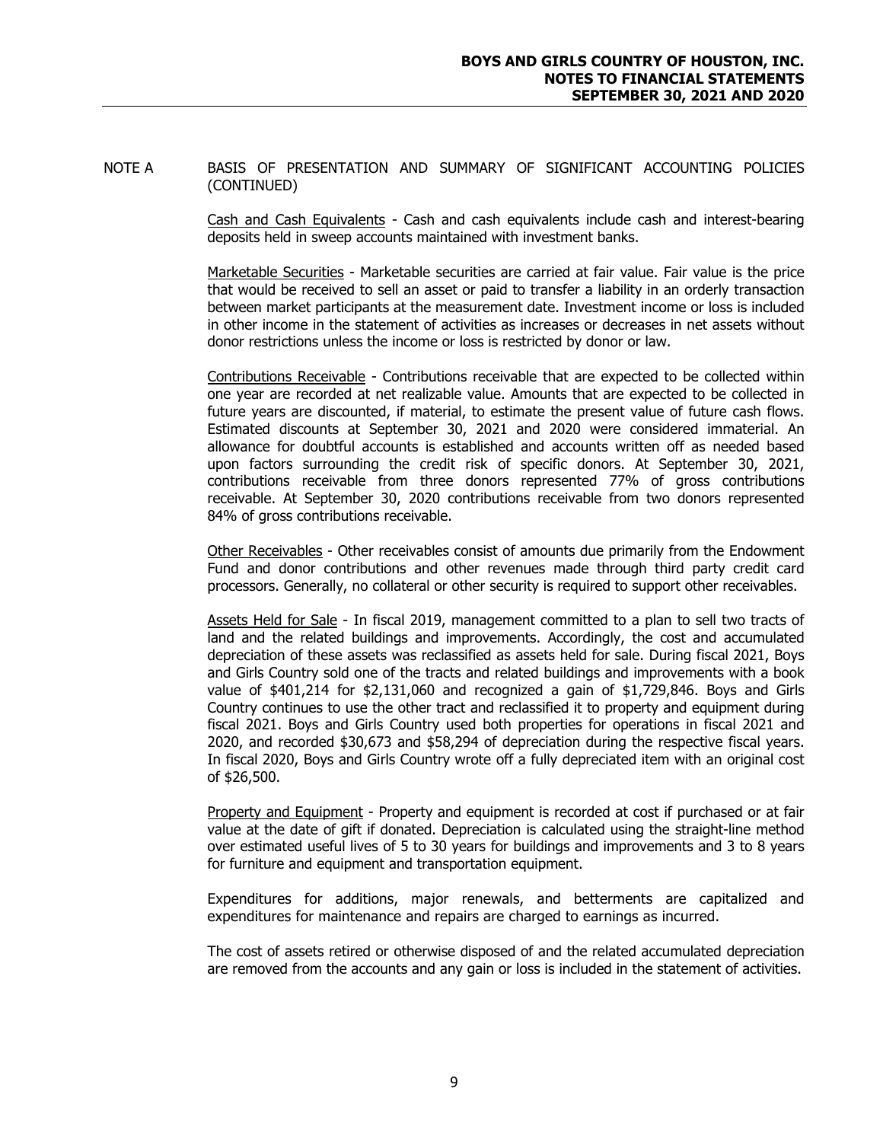NOTE A BASIS OF PRESENTATION AND SUMMARY OF SIGNIFICANT ACCOUNTING POLICIES (CONTINUED)

> Cash and Cash Equivalents - Cash and cash equivalents include cash and interest-bearing deposits held in sweep accounts maintained with investment banks.

> Marketable Securities - Marketable securities are carried at fair value. Fair value is the price that would be received to sell an asset or paid to transfer a liability in an orderly transaction between market participants at the measurement date. Investment income or loss is included in other income in the statement of activities as increases or decreases in net assets without donor restrictions unless the income or loss is restricted by donor or law.

> Contributions Receivable - Contributions receivable that are expected to be collected within one year are recorded at net realizable value. Amounts that are expected to be collected in future years are discounted, if material, to estimate the present value of future cash flows. Estimated discounts at September 30, 2021 and 2020 were considered immaterial. An allowance for doubtful accounts is established and accounts written off as needed based upon factors surrounding the credit risk of specific donors. At September 30, 2021, contributions receivable from three donors represented 77% of gross contributions receivable. At September 30, 2020 contributions receivable from two donors represented 84% of gross contributions receivable.

> Other Receivables - Other receivables consist of amounts due primarily from the Endowment Fund and donor contributions and other revenues made through third party credit card processors. Generally, no collateral or other security is required to support other receivables.

> Assets Held for Sale - In fiscal 2019, management committed to a plan to sell two tracts of land and the related buildings and improvements. Accordingly, the cost and accumulated depreciation of these assets was reclassified as assets held for sale. During fiscal 2021, Boys and Girls Country sold one of the tracts and related buildings and improvements with a book value of \$401,214 for \$2,131,060 and recognized a gain of \$1,729,846. Boys and Girls Country continues to use the other tract and reclassified it to property and equipment during fiscal 2021. Boys and Girls Country used both properties for operations in fiscal 2021 and 2020, and recorded \$30,673 and \$58,294 of depreciation during the respective fiscal years. In fiscal 2020, Boys and Girls Country wrote off a fully depreciated item with an original cost of \$26,500.

> Property and Equipment - Property and equipment is recorded at cost if purchased or at fair value at the date of gift if donated. Depreciation is calculated using the straight-line method over estimated useful lives of 5 to 30 years for buildings and improvements and 3 to 8 years for furniture and equipment and transportation equipment.

> Expenditures for additions, major renewals, and betterments are capitalized and expenditures for maintenance and repairs are charged to earnings as incurred.

> The cost of assets retired or otherwise disposed of and the related accumulated depreciation are removed from the accounts and any gain or loss is included in the statement of activities.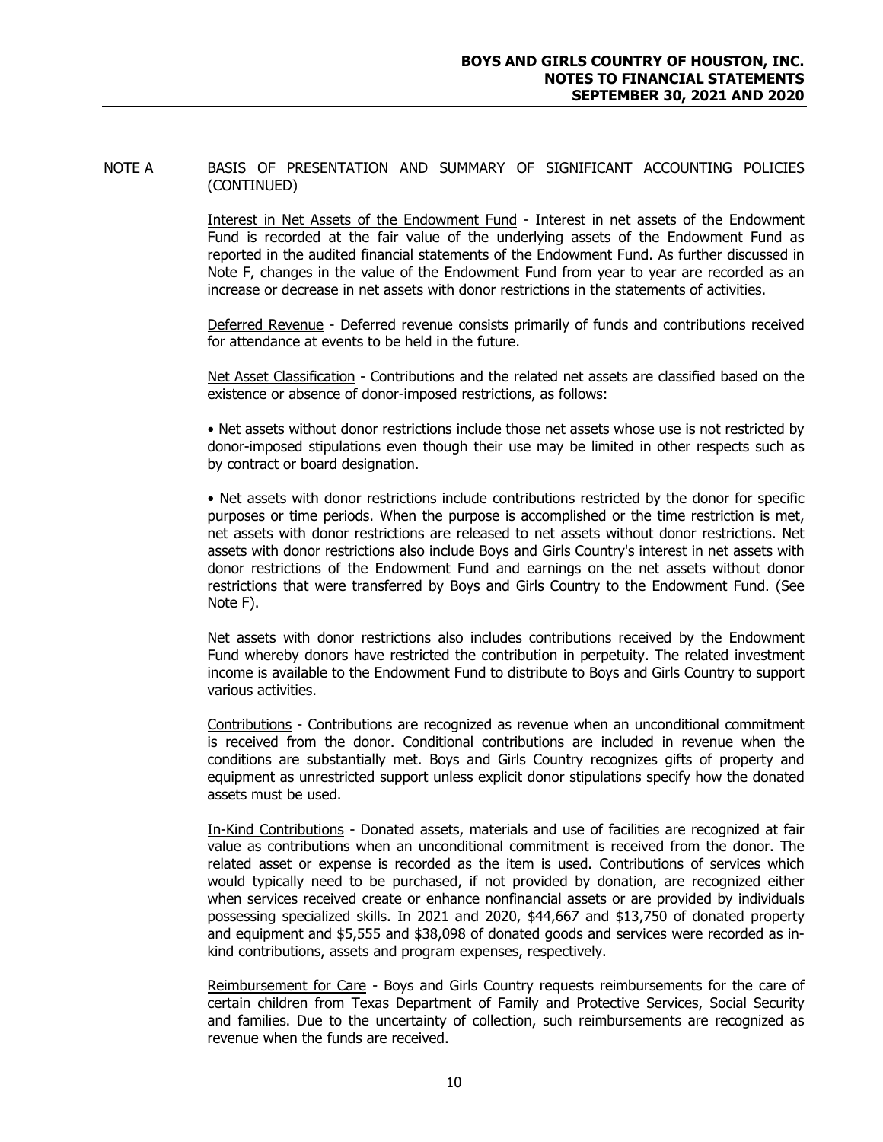### NOTE A BASIS OF PRESENTATION AND SUMMARY OF SIGNIFICANT ACCOUNTING POLICIES (CONTINUED)

Interest in Net Assets of the Endowment Fund - Interest in net assets of the Endowment Fund is recorded at the fair value of the underlying assets of the Endowment Fund as reported in the audited financial statements of the Endowment Fund. As further discussed in Note F, changes in the value of the Endowment Fund from year to year are recorded as an increase or decrease in net assets with donor restrictions in the statements of activities.

Deferred Revenue - Deferred revenue consists primarily of funds and contributions received for attendance at events to be held in the future.

Net Asset Classification - Contributions and the related net assets are classified based on the existence or absence of donor-imposed restrictions, as follows:

• Net assets without donor restrictions include those net assets whose use is not restricted by donor-imposed stipulations even though their use may be limited in other respects such as by contract or board designation.

• Net assets with donor restrictions include contributions restricted by the donor for specific purposes or time periods. When the purpose is accomplished or the time restriction is met, net assets with donor restrictions are released to net assets without donor restrictions. Net assets with donor restrictions also include Boys and Girls Country's interest in net assets with donor restrictions of the Endowment Fund and earnings on the net assets without donor restrictions that were transferred by Boys and Girls Country to the Endowment Fund. (See Note F).

Net assets with donor restrictions also includes contributions received by the Endowment Fund whereby donors have restricted the contribution in perpetuity. The related investment income is available to the Endowment Fund to distribute to Boys and Girls Country to support various activities.

Contributions - Contributions are recognized as revenue when an unconditional commitment is received from the donor. Conditional contributions are included in revenue when the conditions are substantially met. Boys and Girls Country recognizes gifts of property and equipment as unrestricted support unless explicit donor stipulations specify how the donated assets must be used.

In-Kind Contributions - Donated assets, materials and use of facilities are recognized at fair value as contributions when an unconditional commitment is received from the donor. The related asset or expense is recorded as the item is used. Contributions of services which would typically need to be purchased, if not provided by donation, are recognized either when services received create or enhance nonfinancial assets or are provided by individuals possessing specialized skills. In 2021 and 2020, \$44,667 and \$13,750 of donated property and equipment and \$5,555 and \$38,098 of donated goods and services were recorded as inkind contributions, assets and program expenses, respectively.

Reimbursement for Care - Boys and Girls Country requests reimbursements for the care of certain children from Texas Department of Family and Protective Services, Social Security and families. Due to the uncertainty of collection, such reimbursements are recognized as revenue when the funds are received.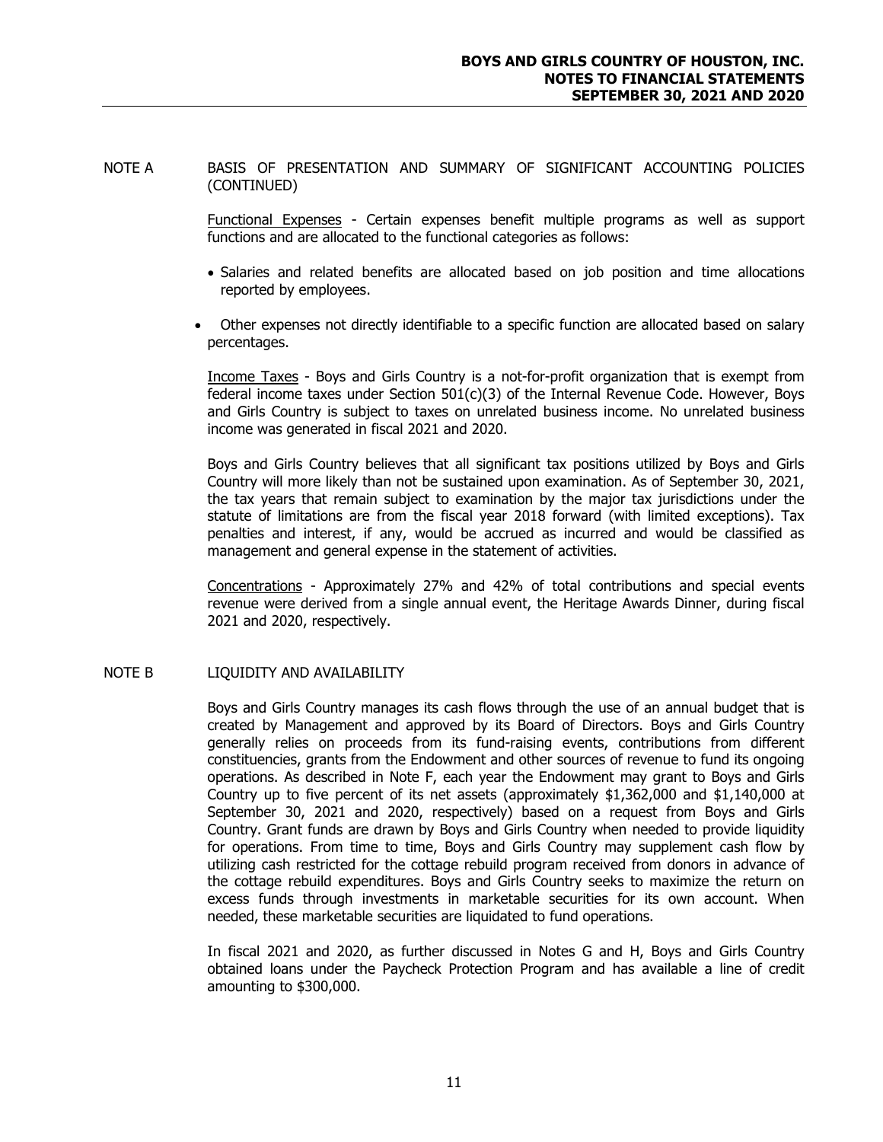NOTE A BASIS OF PRESENTATION AND SUMMARY OF SIGNIFICANT ACCOUNTING POLICIES (CONTINUED)

> Functional Expenses - Certain expenses benefit multiple programs as well as support functions and are allocated to the functional categories as follows:

- Salaries and related benefits are allocated based on job position and time allocations reported by employees.
- Other expenses not directly identifiable to a specific function are allocated based on salary percentages.

Income Taxes - Boys and Girls Country is a not-for-profit organization that is exempt from federal income taxes under Section  $501(c)(3)$  of the Internal Revenue Code. However, Boys and Girls Country is subject to taxes on unrelated business income. No unrelated business income was generated in fiscal 2021 and 2020.

Boys and Girls Country believes that all significant tax positions utilized by Boys and Girls Country will more likely than not be sustained upon examination. As of September 30, 2021, the tax years that remain subject to examination by the major tax jurisdictions under the statute of limitations are from the fiscal year 2018 forward (with limited exceptions). Tax penalties and interest, if any, would be accrued as incurred and would be classified as management and general expense in the statement of activities.

Concentrations - Approximately 27% and 42% of total contributions and special events revenue were derived from a single annual event, the Heritage Awards Dinner, during fiscal 2021 and 2020, respectively.

#### NOTE B LIQUIDITY AND AVAILABILITY

Boys and Girls Country manages its cash flows through the use of an annual budget that is created by Management and approved by its Board of Directors. Boys and Girls Country generally relies on proceeds from its fund-raising events, contributions from different constituencies, grants from the Endowment and other sources of revenue to fund its ongoing operations. As described in Note F, each year the Endowment may grant to Boys and Girls Country up to five percent of its net assets (approximately \$1,362,000 and \$1,140,000 at September 30, 2021 and 2020, respectively) based on a request from Boys and Girls Country. Grant funds are drawn by Boys and Girls Country when needed to provide liquidity for operations. From time to time, Boys and Girls Country may supplement cash flow by utilizing cash restricted for the cottage rebuild program received from donors in advance of the cottage rebuild expenditures. Boys and Girls Country seeks to maximize the return on excess funds through investments in marketable securities for its own account. When needed, these marketable securities are liquidated to fund operations.

In fiscal 2021 and 2020, as further discussed in Notes G and H, Boys and Girls Country obtained loans under the Paycheck Protection Program and has available a line of credit amounting to \$300,000.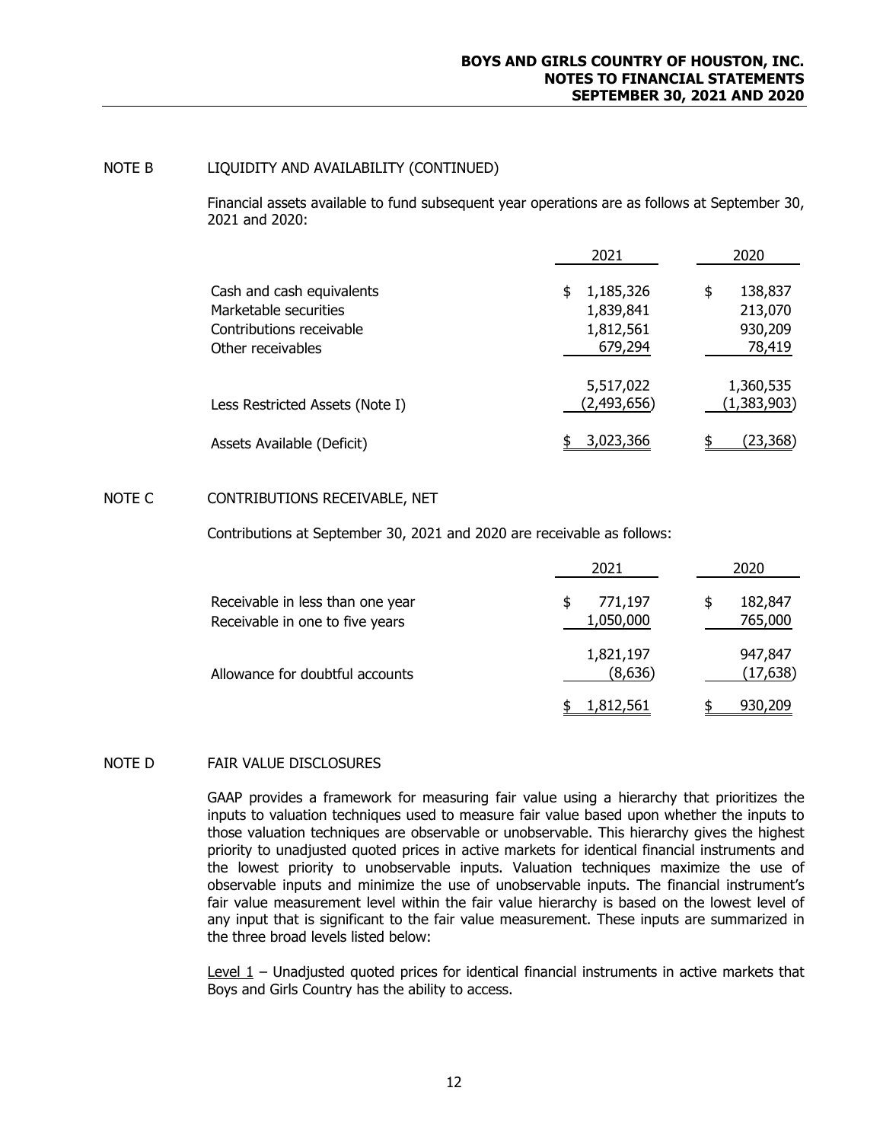### NOTE B LIQUIDITY AND AVAILABILITY (CONTINUED)

Financial assets available to fund subsequent year operations are as follows at September 30, 2021 and 2020:

|                                                                                                     | 2021                                                 | 2020                                          |
|-----------------------------------------------------------------------------------------------------|------------------------------------------------------|-----------------------------------------------|
| Cash and cash equivalents<br>Marketable securities<br>Contributions receivable<br>Other receivables | 1,185,326<br>\$<br>1,839,841<br>1,812,561<br>679,294 | 138,837<br>\$<br>213,070<br>930,209<br>78,419 |
| Less Restricted Assets (Note I)                                                                     | 5,517,022<br>(2,493,656)                             | 1,360,535<br>(1,383,903)                      |
| Assets Available (Deficit)                                                                          | 3,023,366                                            | (23,368)                                      |

## NOTE C CONTRIBUTIONS RECEIVABLE, NET

Contributions at September 30, 2021 and 2020 are receivable as follows:

|                                                                     | 2021                 | 2020                    |
|---------------------------------------------------------------------|----------------------|-------------------------|
| Receivable in less than one year<br>Receivable in one to five years | 771,197<br>1,050,000 | 182,847<br>S<br>765,000 |
| Allowance for doubtful accounts                                     | 1,821,197<br>(8,636) | 947,847<br>(17, 638)    |
|                                                                     | 1,812,561            | 930,209                 |

#### NOTE D FAIR VALUE DISCLOSURES

GAAP provides a framework for measuring fair value using a hierarchy that prioritizes the inputs to valuation techniques used to measure fair value based upon whether the inputs to those valuation techniques are observable or unobservable. This hierarchy gives the highest priority to unadjusted quoted prices in active markets for identical financial instruments and the lowest priority to unobservable inputs. Valuation techniques maximize the use of observable inputs and minimize the use of unobservable inputs. The financial instrument's fair value measurement level within the fair value hierarchy is based on the lowest level of any input that is significant to the fair value measurement. These inputs are summarized in the three broad levels listed below:

Level 1 – Unadjusted quoted prices for identical financial instruments in active markets that Boys and Girls Country has the ability to access.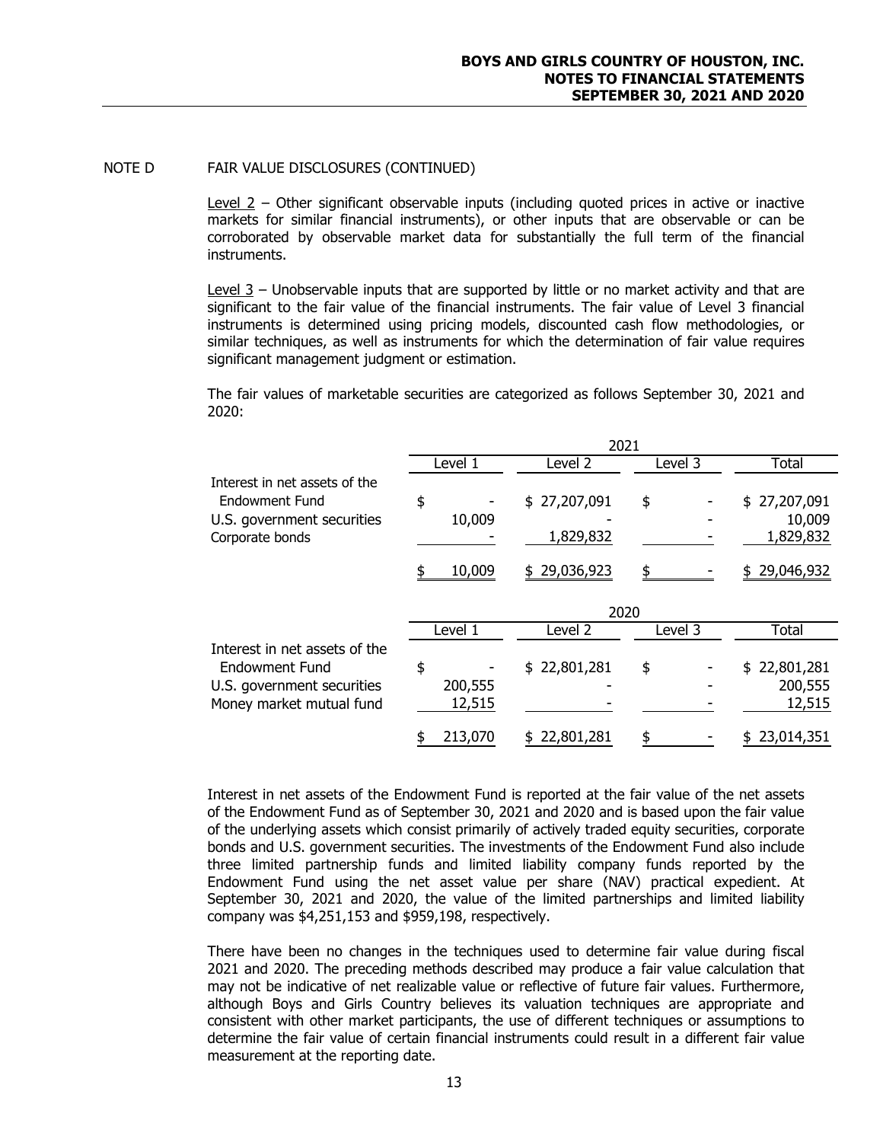#### NOTE D FAIR VALUE DISCLOSURES (CONTINUED)

Level 2 – Other significant observable inputs (including quoted prices in active or inactive markets for similar financial instruments), or other inputs that are observable or can be corroborated by observable market data for substantially the full term of the financial instruments.

Level 3 – Unobservable inputs that are supported by little or no market activity and that are significant to the fair value of the financial instruments. The fair value of Level 3 financial instruments is determined using pricing models, discounted cash flow methodologies, or similar techniques, as well as instruments for which the determination of fair value requires significant management judgment or estimation.

The fair values of marketable securities are categorized as follows September 30, 2021 and 2020:

|                                                                                                           | 2021                    |                                                   |          |                                                     |  |  |  |
|-----------------------------------------------------------------------------------------------------------|-------------------------|---------------------------------------------------|----------|-----------------------------------------------------|--|--|--|
|                                                                                                           | Level 1                 | Level 2                                           | Level 3  | Total                                               |  |  |  |
| Interest in net assets of the<br><b>Endowment Fund</b><br>U.S. government securities<br>Corporate bonds   | \$<br>10,009<br>10,009  | 27,207,091<br>\$<br>1,829,832<br>29,036,923<br>\$ | \$<br>\$ | \$27,207,091<br>10,009<br>1,829,832<br>\$29,046,932 |  |  |  |
|                                                                                                           | Level 1                 | 2020<br>Level 2                                   | Level 3  | Total                                               |  |  |  |
| Interest in net assets of the<br>Endowment Fund<br>U.S. government securities<br>Money market mutual fund | \$<br>200,555<br>12,515 | \$22,801,281                                      | \$       | \$22,801,281<br>200,555<br>12,515                   |  |  |  |
|                                                                                                           | 213,070                 | 22,801,281                                        | \$       | 23,014,351                                          |  |  |  |

Interest in net assets of the Endowment Fund is reported at the fair value of the net assets of the Endowment Fund as of September 30, 2021 and 2020 and is based upon the fair value of the underlying assets which consist primarily of actively traded equity securities, corporate bonds and U.S. government securities. The investments of the Endowment Fund also include three limited partnership funds and limited liability company funds reported by the Endowment Fund using the net asset value per share (NAV) practical expedient. At September 30, 2021 and 2020, the value of the limited partnerships and limited liability company was \$4,251,153 and \$959,198, respectively.

There have been no changes in the techniques used to determine fair value during fiscal 2021 and 2020. The preceding methods described may produce a fair value calculation that may not be indicative of net realizable value or reflective of future fair values. Furthermore, although Boys and Girls Country believes its valuation techniques are appropriate and consistent with other market participants, the use of different techniques or assumptions to determine the fair value of certain financial instruments could result in a different fair value measurement at the reporting date.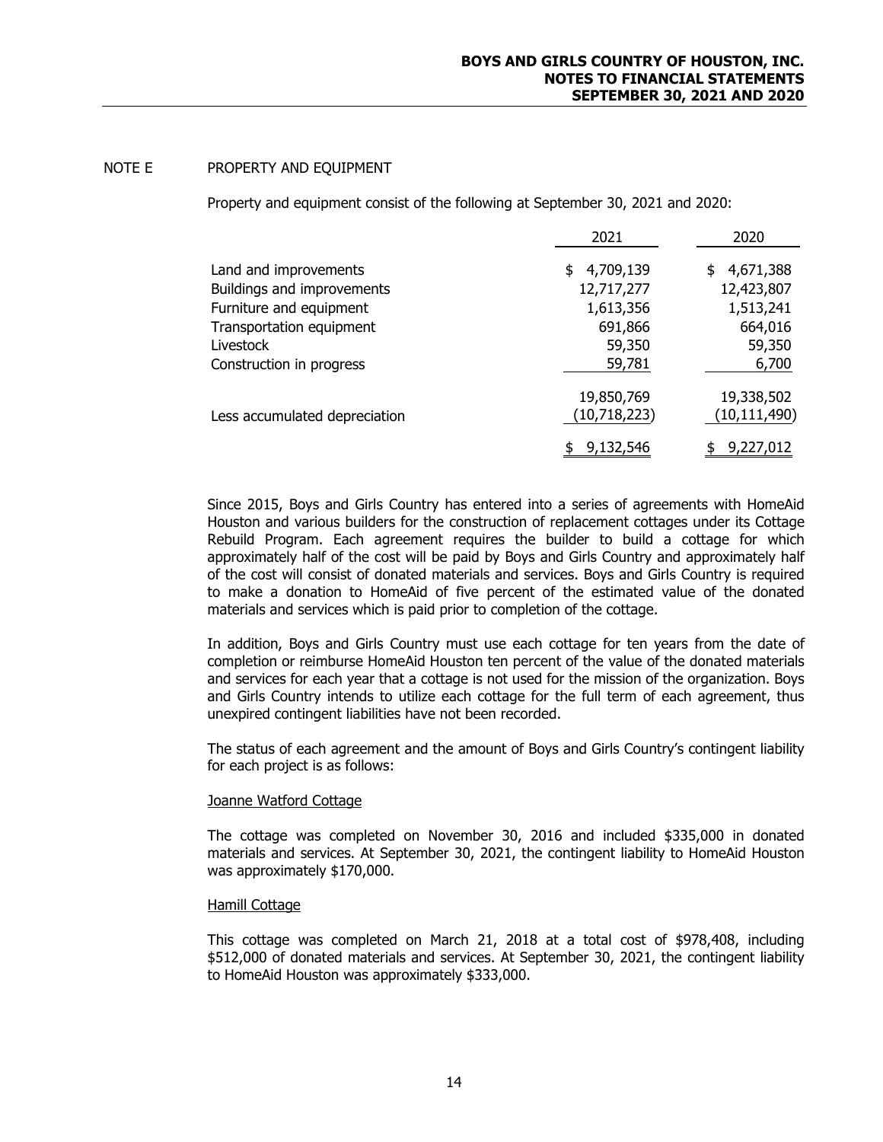## NOTE E PROPERTY AND EQUIPMENT

Property and equipment consist of the following at September 30, 2021 and 2020:

|                               | 2021                       | 2020                         |
|-------------------------------|----------------------------|------------------------------|
| Land and improvements         | 4,709,139<br>\$            | 4,671,388<br>\$              |
| Buildings and improvements    | 12,717,277                 | 12,423,807                   |
| Furniture and equipment       | 1,613,356                  | 1,513,241                    |
| Transportation equipment      | 691,866                    | 664,016                      |
| Livestock                     | 59,350                     | 59,350                       |
| Construction in progress      | 59,781                     | 6,700                        |
| Less accumulated depreciation | 19,850,769<br>(10,718,223) | 19,338,502<br>(10, 111, 490) |
|                               | 9,132,546                  | 9,227,012                    |

Since 2015, Boys and Girls Country has entered into a series of agreements with HomeAid Houston and various builders for the construction of replacement cottages under its Cottage Rebuild Program. Each agreement requires the builder to build a cottage for which approximately half of the cost will be paid by Boys and Girls Country and approximately half of the cost will consist of donated materials and services. Boys and Girls Country is required to make a donation to HomeAid of five percent of the estimated value of the donated materials and services which is paid prior to completion of the cottage.

In addition, Boys and Girls Country must use each cottage for ten years from the date of completion or reimburse HomeAid Houston ten percent of the value of the donated materials and services for each year that a cottage is not used for the mission of the organization. Boys and Girls Country intends to utilize each cottage for the full term of each agreement, thus unexpired contingent liabilities have not been recorded.

The status of each agreement and the amount of Boys and Girls Country's contingent liability for each project is as follows:

#### Joanne Watford Cottage

The cottage was completed on November 30, 2016 and included \$335,000 in donated materials and services. At September 30, 2021, the contingent liability to HomeAid Houston was approximately \$170,000.

#### Hamill Cottage

This cottage was completed on March 21, 2018 at a total cost of \$978,408, including \$512,000 of donated materials and services. At September 30, 2021, the contingent liability to HomeAid Houston was approximately \$333,000.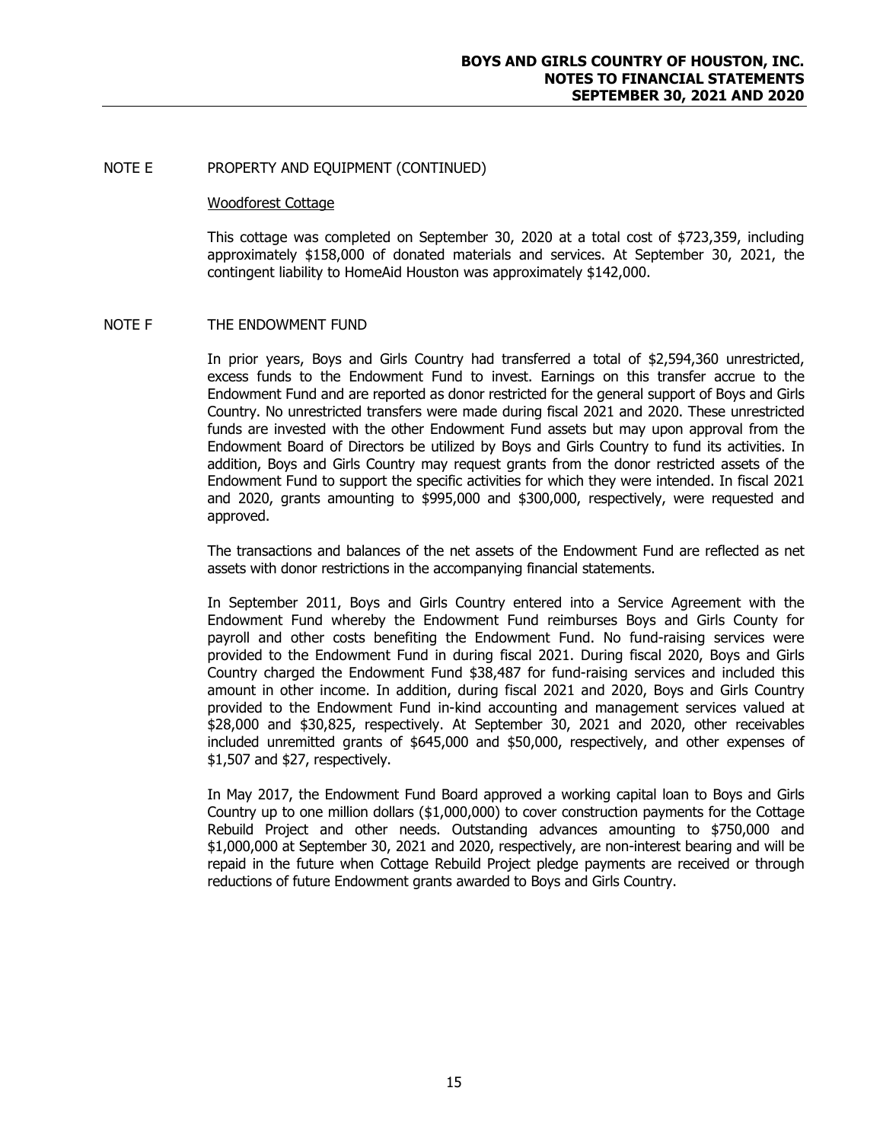#### NOTE E PROPERTY AND EQUIPMENT (CONTINUED)

#### Woodforest Cottage

This cottage was completed on September 30, 2020 at a total cost of \$723,359, including approximately \$158,000 of donated materials and services. At September 30, 2021, the contingent liability to HomeAid Houston was approximately \$142,000.

#### NOTE F THE ENDOWMENT FUND

In prior years, Boys and Girls Country had transferred a total of \$2,594,360 unrestricted, excess funds to the Endowment Fund to invest. Earnings on this transfer accrue to the Endowment Fund and are reported as donor restricted for the general support of Boys and Girls Country. No unrestricted transfers were made during fiscal 2021 and 2020. These unrestricted funds are invested with the other Endowment Fund assets but may upon approval from the Endowment Board of Directors be utilized by Boys and Girls Country to fund its activities. In addition, Boys and Girls Country may request grants from the donor restricted assets of the Endowment Fund to support the specific activities for which they were intended. In fiscal 2021 and 2020, grants amounting to \$995,000 and \$300,000, respectively, were requested and approved.

The transactions and balances of the net assets of the Endowment Fund are reflected as net assets with donor restrictions in the accompanying financial statements.

In September 2011, Boys and Girls Country entered into a Service Agreement with the Endowment Fund whereby the Endowment Fund reimburses Boys and Girls County for payroll and other costs benefiting the Endowment Fund. No fund-raising services were provided to the Endowment Fund in during fiscal 2021. During fiscal 2020, Boys and Girls Country charged the Endowment Fund \$38,487 for fund-raising services and included this amount in other income. In addition, during fiscal 2021 and 2020, Boys and Girls Country provided to the Endowment Fund in-kind accounting and management services valued at \$28,000 and \$30,825, respectively. At September 30, 2021 and 2020, other receivables included unremitted grants of \$645,000 and \$50,000, respectively, and other expenses of \$1,507 and \$27, respectively.

In May 2017, the Endowment Fund Board approved a working capital loan to Boys and Girls Country up to one million dollars (\$1,000,000) to cover construction payments for the Cottage Rebuild Project and other needs. Outstanding advances amounting to \$750,000 and \$1,000,000 at September 30, 2021 and 2020, respectively, are non-interest bearing and will be repaid in the future when Cottage Rebuild Project pledge payments are received or through reductions of future Endowment grants awarded to Boys and Girls Country.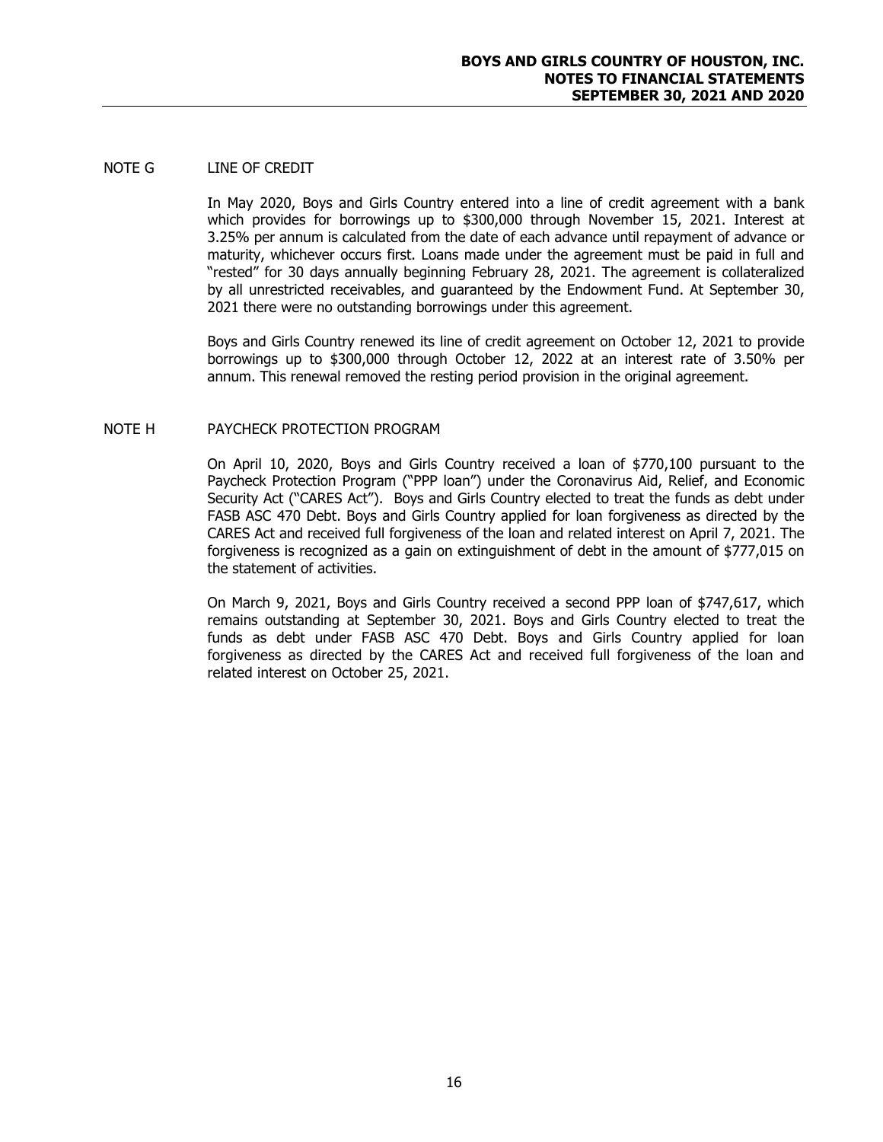#### NOTE G LINE OF CREDIT

In May 2020, Boys and Girls Country entered into a line of credit agreement with a bank which provides for borrowings up to \$300,000 through November 15, 2021. Interest at 3.25% per annum is calculated from the date of each advance until repayment of advance or maturity, whichever occurs first. Loans made under the agreement must be paid in full and "rested" for 30 days annually beginning February 28, 2021. The agreement is collateralized by all unrestricted receivables, and guaranteed by the Endowment Fund. At September 30, 2021 there were no outstanding borrowings under this agreement.

Boys and Girls Country renewed its line of credit agreement on October 12, 2021 to provide borrowings up to \$300,000 through October 12, 2022 at an interest rate of 3.50% per annum. This renewal removed the resting period provision in the original agreement.

#### NOTE H PAYCHECK PROTECTION PROGRAM

On April 10, 2020, Boys and Girls Country received a loan of \$770,100 pursuant to the Paycheck Protection Program ("PPP loan") under the Coronavirus Aid, Relief, and Economic Security Act ("CARES Act"). Boys and Girls Country elected to treat the funds as debt under FASB ASC 470 Debt. Boys and Girls Country applied for loan forgiveness as directed by the CARES Act and received full forgiveness of the loan and related interest on April 7, 2021. The forgiveness is recognized as a gain on extinguishment of debt in the amount of \$777,015 on the statement of activities.

On March 9, 2021, Boys and Girls Country received a second PPP loan of \$747,617, which remains outstanding at September 30, 2021. Boys and Girls Country elected to treat the funds as debt under FASB ASC 470 Debt. Boys and Girls Country applied for loan forgiveness as directed by the CARES Act and received full forgiveness of the loan and related interest on October 25, 2021.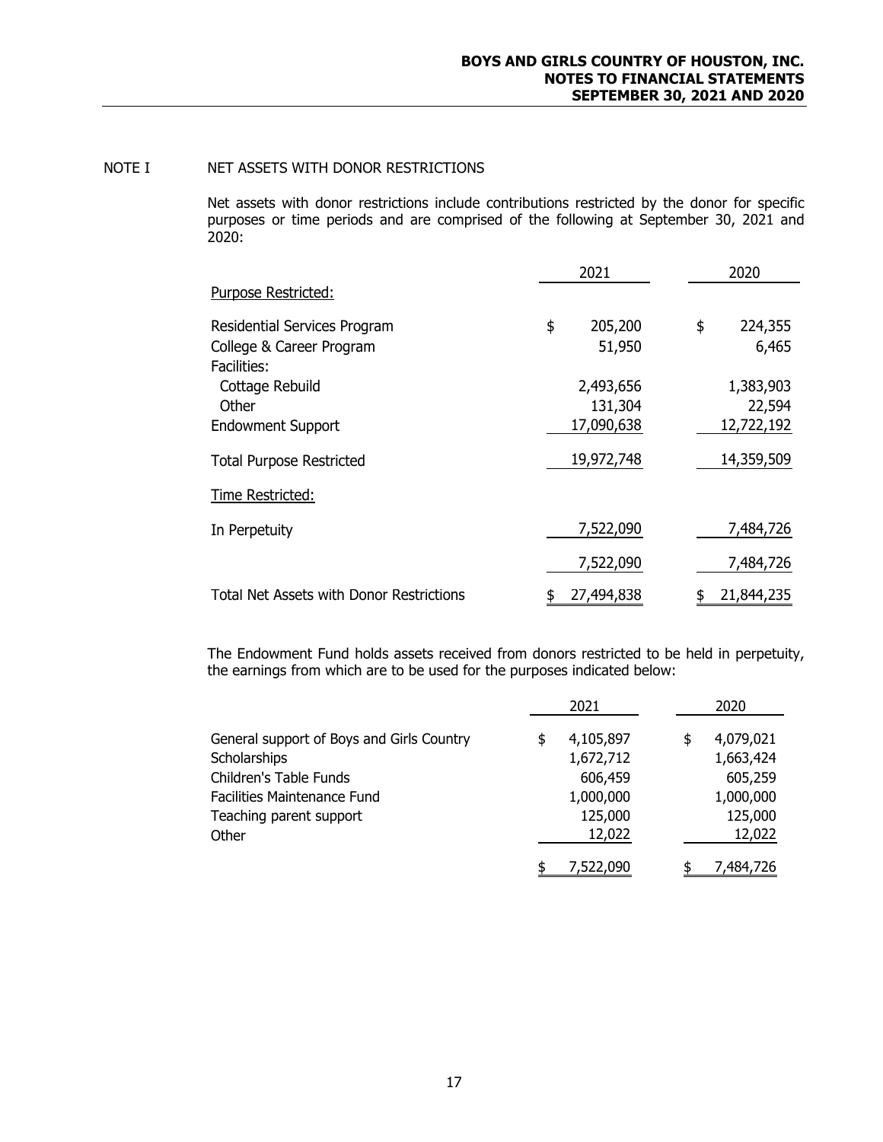## NOTE I NET ASSETS WITH DONOR RESTRICTIONS

Net assets with donor restrictions include contributions restricted by the donor for specific purposes or time periods and are comprised of the following at September 30, 2021 and 2020:

|                                          | 2021          |    | 2020       |
|------------------------------------------|---------------|----|------------|
| Purpose Restricted:                      |               |    |            |
| Residential Services Program             | \$<br>205,200 | \$ | 224,355    |
| College & Career Program                 | 51,950        |    | 6,465      |
| Facilities:                              |               |    |            |
| Cottage Rebuild                          | 2,493,656     |    | 1,383,903  |
| Other                                    | 131,304       |    | 22,594     |
| <b>Endowment Support</b>                 | 17,090,638    |    | 12,722,192 |
| <b>Total Purpose Restricted</b>          | 19,972,748    |    | 14,359,509 |
| Time Restricted:                         |               |    |            |
| In Perpetuity                            | 7,522,090     |    | 7,484,726  |
|                                          | 7,522,090     |    | 7,484,726  |
| Total Net Assets with Donor Restrictions | 27,494,838    |    | 21,844,235 |

The Endowment Fund holds assets received from donors restricted to be held in perpetuity, the earnings from which are to be used for the purposes indicated below:

|                                                           | 2021                   |    | 2020                   |
|-----------------------------------------------------------|------------------------|----|------------------------|
| General support of Boys and Girls Country<br>Scholarships | 4,105,897<br>1,672,712 | \$ | 4,079,021<br>1,663,424 |
| Children's Table Funds                                    | 606,459                |    | 605,259                |
| Facilities Maintenance Fund                               | 1,000,000              |    | 1,000,000              |
| Teaching parent support                                   | 125,000                |    | 125,000                |
| Other                                                     | 12,022                 |    | 12,022                 |
|                                                           | 7,522,090              |    | 7,484,726              |